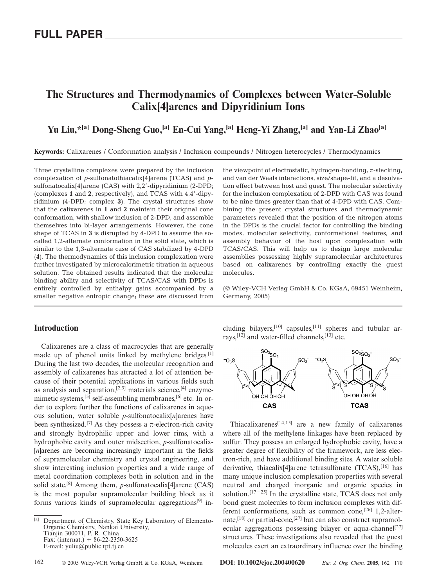# **The Structures and Thermodynamics of Complexes between Water-Soluble Calix[4]arenes and Dipyridinium Ions**

# **Yu Liu,\*[a] Dong-Sheng Guo,[a] En-Cui Yang,[a] Heng-Yi Zhang,[a] and Yan-Li Zhao[a]**

**Keywords:** Calixarenes / Conformation analysis / Inclusion compounds / Nitrogen heterocycles / Thermodynamics

Three crystalline complexes were prepared by the inclusion complexation of *p*-sulfonatothiacalix[4]arene (TCAS) and *p*sulfonatocalix[4]arene (CAS) with 2,2'-dipyridinium (2-DPD; (complexes **1** and **2**, respectively), and TCAS with 4,4-dipyridinium (4-DPD; complex **3**). The crystal structures show that the calixarenes in **1** and **2** maintain their original cone conformation, with shallow inclusion of 2-DPD, and assemble themselves into bi-layer arrangements. However, the cone shape of TCAS in **3** is disrupted by 4-DPD to assume the socalled 1,2-alternate conformation in the solid state, which is similar to the 1,3-alternate case of CAS stabilized by 4-DPD (**4**). The thermodynamics of this inclusion complexation were further investigated by microcalorimetric titration in aqueous solution. The obtained results indicated that the molecular binding ability and selectivity of TCAS/CAS with DPDs is entirely controlled by enthalpy gains accompanied by a smaller negative entropic change; these are discussed from

## **Introduction**

Calixarenes are a class of macrocycles that are generally made up of phenol units linked by methylene bridges.[1] During the last two decades, the molecular recognition and assembly of calixarenes has attracted a lot of attention because of their potential applications in various fields such as analysis and separation,<sup>[2,3]</sup> materials science,<sup>[4]</sup> enzymemimetic systems,<sup>[5]</sup> self-assembling membranes,<sup>[6]</sup> etc. In order to explore further the functions of calixarenes in aqueous solution, water soluble *p*-sulfonatocalix[*n*]arenes have been synthesized.<sup>[7]</sup> As they possess a  $\pi$ -electron-rich cavity and strongly hydrophilic upper and lower rims, with a hydrophobic cavity and outer midsection, *p*-sulfonatocalix- [*n*]arenes are becoming increasingly important in the fields of supramolecular chemistry and crystal engineering, and show interesting inclusion properties and a wide range of metal coordination complexes both in solution and in the solid state.[8] Among them, *p*-sulfonatocalix[4]arene (CAS) is the most popular supramolecular building block as it forms various kinds of supramolecular aggregations<sup>[9]</sup> inthe viewpoint of electrostatic, hydrogen-bonding,  $\pi$ -stacking, and van der Waals interactions, size/shape-fit, and a desolvation effect between host and guest. The molecular selectivity for the inclusion complexation of 2-DPD with CAS was found to be nine times greater than that of 4-DPD with CAS. Combining the present crystal structures and thermodynamic parameters revealed that the position of the nitrogen atoms in the DPDs is the crucial factor for controlling the binding modes, molecular selectivity, conformational features, and assembly behavior of the host upon complexation with TCAS/CAS. This will help us to design large molecular assemblies possessing highly supramolecular architectures based on calixarenes by controlling exactly the guest molecules.

(© Wiley-VCH Verlag GmbH & Co. KGaA, 69451 Weinheim, Germany, 2005)

cluding bilayers,<sup>[10]</sup> capsules,<sup>[11]</sup> spheres and tubular arrays,<sup> $[12]$ </sup> and water-filled channels, $[13]$  etc.



Thiacalixarenes[14,15] are a new family of calixarenes where all of the methylene linkages have been replaced by sulfur. They possess an enlarged hydrophobic cavity, have a greater degree of flexibility of the framework, are less electron-rich, and have additional binding sites. A water soluble derivative, thiacalix<sup>[4]</sup>arene tetrasulfonate (TCAS),<sup>[16]</sup> has many unique inclusion complexation properties with several neutral and charged inorganic and organic species in solution.<sup>[17-25]</sup> In the crystalline state, TCAS does not only bond guest molecules to form inclusion complexes with different conformations, such as common cone,<sup>[26]</sup> 1,2-alternate,<sup>[18]</sup> or partial-cone,<sup>[27]</sup> but can also construct supramolecular aggregations possessing bilayer or aqua-channel<sup>[27]</sup> structures. These investigations also revealed that the guest molecules exert an extraordinary influence over the binding

<sup>[</sup>a] Department of Chemistry, State Key Laboratory of Elemento-Organic Chemistry, Nankai University, Tianjin 300071, P. R. China Fax: (internat.)  $+ 86-22-2350-3625$ E-mail: yuliu@public.tpt.tj.cn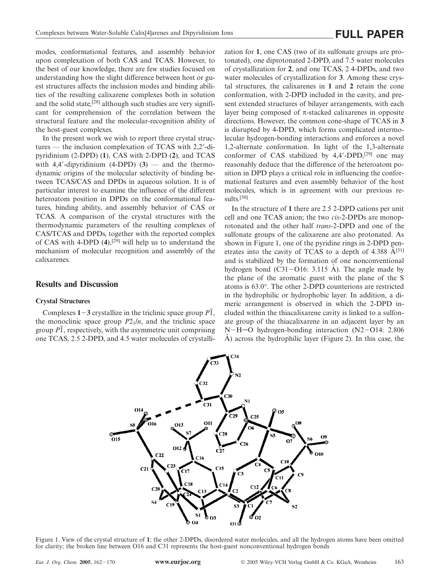modes, conformational features, and assembly behavior upon complexation of both CAS and TCAS. However, to the best of our knowledge, there are few studies focused on understanding how the slight difference between host or guest structures affects the inclusion modes and binding abilities of the resulting calixarene complexes both in solution and the solid state,<sup>[28]</sup> although such studies are very significant for comprehension of the correlation between the structural feature and the molecular-recognition ability of the host-guest complexes.

In the present work we wish to report three crystal structures — the inclusion complexation of TCAS with 2,2-dipyridinium (2-DPD) (**1**), CAS with 2-DPD (**2**), and TCAS with  $4.4'$ -dipyridinium  $(4-DPD)$   $(3)$  — and the thermodynamic origins of the molecular selectivity of binding between TCAS/CAS and DPDs in aqueous solution. It is of particular interest to examine the influence of the different heteroatom position in DPDs on the conformational features, binding ability, and assembly behavior of CAS or TCAS. A comparison of the crystal structures with the thermodynamic parameters of the resulting complexes of CAS/TCAS and DPDs, together with the reported complex of CAS with 4-DPD (**4**),[29] will help us to understand the mechanism of molecular recognition and assembly of the calixarenes.

### **Results and Discussion**

#### **Crystal Structures**

Complexes  $1-3$  crystallize in the triclinic space group  $P\overline{1}$ , the monoclinic space group  $P2_1/n$ , and the triclinic space group  $\overline{PI}$ , respectively, with the asymmetric unit comprising one TCAS, 2.5 2-DPD, and 4.5 water molecules of crystallization for **1**, one CAS (two of its sulfonate groups are protonated), one diprotonated 2-DPD, and 7.5 water molecules of crystallization for **2**, and one TCAS, 2 4-DPDs, and two water molecules of crystallization for **3**. Among these crystal structures, the calixarenes in **1** and **2** retain the cone conformation, with 2-DPD included in the cavity, and present extended structures of bilayer arrangements, with each layer being composed of  $π$ -stacked calixarenes in opposite directions. However, the common cone-shape of TCAS in **3** is disrupted by 4-DPD, which forms complicated intermolecular hydrogen-bonding interactions and enforces a novel 1,2-alternate conformation. In light of the 1,3-alternate conformer of CAS stabilized by 4,4'-DPD,<sup>[29]</sup> one may reasonably deduce that the difference of the heteroatom position in DPD plays a critical role in influencing the conformational features and even assembly behavior of the host molecules, which is in agreement with our previous results.[30]

In the structure of **1** there are 2.5 2-DPD cations per unit cell and one TCAS anion; the two *cis*-2-DPDs are monoprotonated and the other half *trans*-2-DPD and one of the sulfonate groups of the calixarene are also protonated. As shown in Figure 1, one of the pyridine rings in 2-DPD penetrates into the cavity of TCAS to a depth of  $4.388 \text{ Å}^{[31]}$ and is stabilized by the formation of one nonconventional hydrogen bond  $(C31 - O16: 3.115 \text{ Å})$ . The angle made by the plane of the aromatic guest with the plane of the S atoms is 63.0°. The other 2-DPD counterions are restricted in the hydrophilic or hydrophobic layer. In addition, a dimeric arrangement is observed in which the 2-DPD included within the thiacalixarene cavity is linked to a sulfonate group of the thiacalixarene in an adjacent layer by an N-H···O hydrogen-bonding interaction (N2-O14: 2.806)  $\AA$ ) across the hydrophilic layer (Figure 2). In this case, the



Figure 1. View of the crystal structure of **1**; the other 2-DPDs, disordered water molecules, and all the hydrogen atoms have been omitted for clarity; the broken line between O16 and C31 represents the host-guest nonconventional hydrogen bonds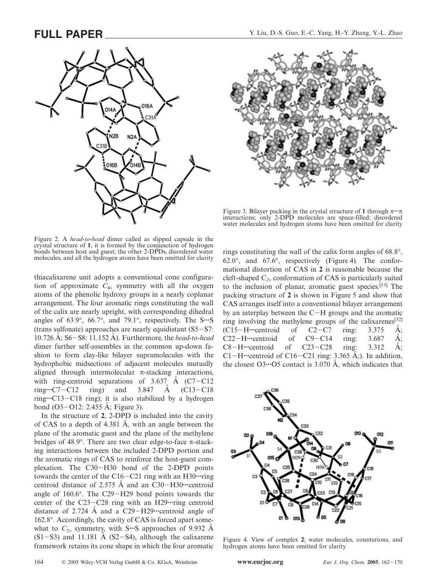



Figure 3. Bilayer packing in the crystal structure of **1** through π**···**π interactions; only 2-DPD molecules are space-filled; disordered water molecules and hydrogen atoms have been omitted for clarity

Figure 2. A *head*-*to*-*head* dimer called as slipped capsule in the crystal structure of **1**; it is formed by the conjunction of hydrogen bonds between host and guest; the other 2-DPDs, disordered water molecules, and all the hydrogen atoms have been omitted for clarity

thiacalixarene unit adopts a conventional cone configuration of approximate  $C_{4v}$  symmetry with all the oxygen atoms of the phenolic hydroxy groups in a nearly coplanar arrangement. The four aromatic rings constituting the wall of the calix are nearly upright, with corresponding dihedral angles of 63.9°, 66.7°, and 79.1°, respectively. The S**···**S (trans sulfonate) approaches are nearly equidistant  $(S5-S7)$ : 10.726 Å; S6-S8: 11.152 Å). Furthermore, the *head-to-head* dimer further self-assembles in the common up-down fashion to form clay-like bilayer supramolecules with the hydrophobic midsections of adjacent molecules mutually aligned through intermolecular  $\pi$ -stacking interactions, with ring-centroid separations of  $3.637 \text{ A}$  (C7-C12) ring $\cdot$ •··C7-C12 ring) and 3.847  $\dot{A}$  (C13-C18 ring···C13-C18 ring); it is also stabilized by a hydrogen bond  $(O3-O12: 2.455 \text{ Å}; \text{Figure 3}).$ 

In the structure of **2**, 2-DPD is included into the cavity of CAS to a depth of  $4.381$  Å, with an angle between the plane of the aromatic guest and the plane of the methylene bridges of 48.9°. There are two clear edge-to-face π-stacking interactions between the included 2-DPD portion and the aromatic rings of CAS to reinforce the host-guest complexation. The C30-H30 bond of the 2-DPD points towards the center of the C16–C21 ring with an H30·····ring centroid distance of 2.575 A and an C30-H30····centroid angle of  $160.6^\circ$ . The C29-H29 bond points towards the center of the C23-C28 ring with an H29·····ring centroid distance of 2.724  $\AA$  and a C29-H29····centroid angle of 162.8°. Accordingly, the cavity of CAS is forced apart somewhat to  $C_{2v}$  symmetry, with S<sup>\*\*\*</sup>S approaches of 9.932 A  $(S1-S3)$  and 11.181 Å  $(S2-S4)$ , although the calixarene framework retains its cone shape in which the four aromatic rings constituting the wall of the calix form angles of 68.8°, 62.0 $^{\circ}$ , and 67.6 $^{\circ}$ , respectively (Figure 4). The conformational distortion of CAS in **2** is reasonable because the cleft-shaped C*2v* conformation of CAS is particularly suited to the inclusion of planar, aromatic guest species.[13] The packing structure of **2** is shown in Figure 5 and show that CAS arranges itself into a conventional bilayer arrangement by an interplay between the  $C-H$  groups and the aromatic ring involving the methylene groups of the calixarenes<sup>[32]</sup>  $(C15-H\cdot\cdot\cdot\text{centroid}$  of  $C2-C7$  ring: 3.375  $\dot{A}$ ;  $C22-H$ **···**··centroid of  $C9-C14$  ring:  $3.687$  Å;  $C8-H\cdot\cdot\cdot$ centroid of  $C23-C28$  ring:  $3.312$  Å; C1-H····centroid of C16-C21 ring:  $3.365$  Å;). In addition, the closest  $O3 \cdot O5$  contact is 3.070 Å, which indicates that



Figure 4. View of complex **2**; water molecules, counterions, and hydrogen atoms have been omitted for clarity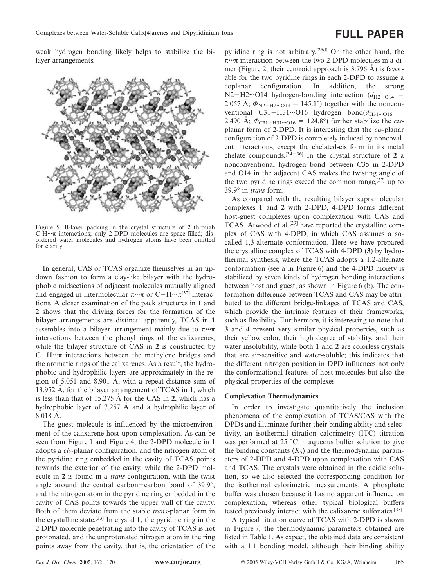weak hydrogen bonding likely helps to stabilize the bilayer arrangements.



Figure 5. B-layer packing in the crystal structure of **2** through C-H**···**π interactions; only 2-DPD molecules are space-filled; disordered water molecules and hydrogen atoms have been omitted for clarity

In general, CAS or TCAS organize themselves in an updown fashion to form a clay-like bilayer with the hydrophobic midsections of adjacent molecules mutually aligned and engaged in intermolecular  $\pi \cdot \cdot \pi$  or  $C-H \cdot \cdot \cdot \pi^{[32]}$  interactions. A closer examination of the pack structures in **1** and **2** shows that the driving forces for the formation of the bilayer arrangements are distinct: apparently, TCAS in **1** assembles into a bilayer arrangement mainly due to π**···**π interactions between the phenyl rings of the calixarenes, while the bilayer structure of CAS in **2** is constructed by C-H···π interactions between the methylene bridges and the aromatic rings of the calixarenes. As a result, the hydrophobic and hydrophilic layers are approximately in the region of  $5.051$  and  $8.901$  Å, with a repeat-distance sum of 13.952 A, for the bilayer arrangement of TCAS in 1, which is less than that of 15.275 Å for the CAS in 2, which has a hydrophobic layer of  $7.257$  Å and a hydrophilic layer of  $8.018$   $\AA$ .

The guest molecule is influenced by the microenvironment of the calixarene host upon complexation. As can be seen from Figure 1 and Figure 4, the 2-DPD molecule in **1** adopts a *cis*-planar configuration, and the nitrogen atom of the pyridine ring embedded in the cavity of TCAS points towards the exterior of the cavity, while the 2-DPD molecule in **2** is found in a *trans* configuration, with the twist angle around the central carbon-carbon bond of  $39.9^{\circ}$ , and the nitrogen atom in the pyridine ring embedded in the cavity of CAS points towards the upper wall of the cavity. Both of them deviate from the stable *trans*-planar form in the crystalline state.[33] In crystal **1**, the pyridine ring in the 2-DPD molecule penetrating into the cavity of TCAS is not protonated, and the unprotonated nitrogen atom in the ring points away from the cavity, that is, the orientation of the

pyridine ring is not arbitrary.[26d] On the other hand, the π**···**π interaction between the two 2-DPD molecules in a dimer (Figure 2; their centroid approach is  $3.796$  Å) is favorable for the two pyridine rings in each 2-DPD to assume a coplanar configuration. In addition, the strong N2-H2····O14 hydrogen-bonding interaction  $(d_{H2}$ <sup>\*</sup>····O14 = 2.057 A˚ ; *Φ*N2H2**···**O14 145.1°) together with the nonconventional C31-H31····O16 hydrogen bond $(d_{H31}$ ····<sub>O16</sub> = 2.490 Å;  $\Phi_{C31-H31}$ ···· $O16 = 124.8^\circ$ ) further stabilize the *cis*planar form of 2-DPD. It is interesting that the *cis*-planar configuration of 2-DPD is completely induced by noncovalent interactions, except the chelated-cis form in its metal chelate compounds.<sup>[34-36]</sup> In the crystal structure of 2 a nonconventional hydrogen bond between C35 in 2-DPD and O14 in the adjacent CAS makes the twisting angle of the two pyridine rings exceed the common range, $[37]$  up to 39.9° in *trans* form.

As compared with the resulting bilayer supramolecular complexes **1** and **2** with 2-DPD, 4-DPD forms different host-guest complexes upon complexation with CAS and TCAS. Atwood et al.<sup>[29]</sup> have reported the crystalline complex of CAS with 4-DPD, in which CAS assumes a socalled 1,3-alternate conformation. Here we have prepared the crystalline complex of TCAS with 4-DPD (**3**) by hydrothermal synthesis, where the TCAS adopts a 1,2-alternate conformation (see a in Figure 6) and the 4-DPD moiety is stabilized by seven kinds of hydrogen bonding interactions between host and guest, as shown in Figure 6 (b). The conformation difference between TCAS and CAS may be attributed to the different bridge-linkages of TCAS and CAS, which provide the intrinsic features of their frameworks, such as flexibility. Furthermore, it is interesting to note that **3** and **4** present very similar physical properties, such as their yellow color, their high degree of stability, and their water insolubility, while both **1** and **2** are colorless crystals that are air-sensitive and water-soluble; this indicates that the different nitrogen position in DPD influences not only the conformational features of host molecules but also the physical properties of the complexes.

#### **Complexation Thermodynamics**

In order to investigate quantitatively the inclusion phenomena of the complexation of TCAS/CAS with the DPDs and illuminate further their binding ability and selectivity, an isothermal titration calorimetry (ITC) titration was performed at 25  $\degree$ C in aqueous buffer solution to give the binding constants  $(K<sub>S</sub>)$  and the thermodynamic parameters of 2-DPD and 4-DPD upon complexation with CAS and TCAS. The crystals were obtained in the acidic solution, so we also selected the corresponding condition for the isothermal calorimetric measurements. A phosphate buffer was chosen because it has no apparent influence on complexation, whereas other typical biological buffers tested previously interact with the calixarene sulfonates.[38]

A typical titration curve of TCAS with 2-DPD is shown in Figure 7; the thermodynamic parameters obtained are listed in Table 1. As expect, the obtained data are consistent with a 1:1 bonding model, although their binding ability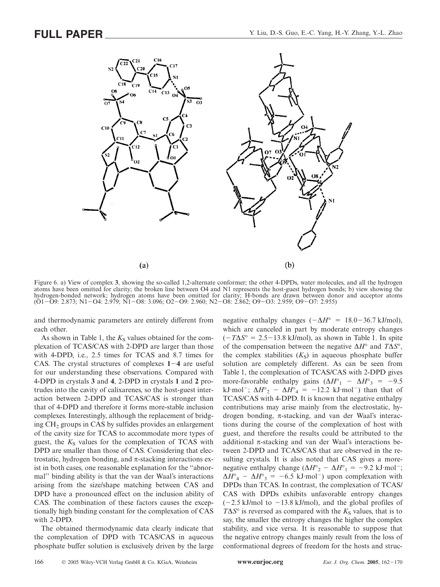

Figure 6. a) View of complex **3**, showing the so-called 1,2-alternate conformer; the other 4-DPDs, water molecules, and all the hydrogen atoms have been omitted for clarity; the broken line between O4 and N1 represents the host-guest hydrogen bonds; b) view showing the hydrogen-bonded network; hydrogen atoms have been omitted for clarity; H-bonds are drawn between donor and acceptor atoms (O1-O9: 2.873; N1-O4: 2.979; N1-O8: 3.096; O2-O9: 2.960; N2-O8: 2.862; O9-O3: 2.959; O9-O7: 2.955)

and thermodynamic parameters are entirely different from each other.

As shown in Table 1, the  $K<sub>S</sub>$  values obtained for the complexation of TCAS/CAS with 2-DPD are larger than those with 4-DPD, i.e., 2.5 times for TCAS and 8.7 times for CAS. The crystal structures of complexes **14** are useful for our understanding these observations. Compared with 4-DPD in crystals **3** and **4**, 2-DPD in crystals **1** and **2** protrudes into the cavity of calixarenes, so the host-guest interaction between 2-DPD and TCAS/CAS is stronger than that of 4-DPD and therefore it forms more-stable inclusion complexes. Interestingly, although the replacement of bridging CH<sub>2</sub> groups in CAS by sulfides provides an enlargement of the cavity size for TCAS to accommodate more types of guest, the  $K<sub>S</sub>$  values for the complexation of TCAS with DPD are smaller than those of CAS. Considering that electrostatic, hydrogen bonding, and  $\pi$ -stacking interactions exist in both cases, one reasonable explanation for the ''abnormal'' binding ability is that the van der Waal's interactions arising from the size/shape matching between CAS and DPD have a pronounced effect on the inclusion ability of CAS. The combination of these factors causes the exceptionally high binding constant for the complexation of CAS with 2-DPD.

The obtained thermodynamic data clearly indicate that the complexation of DPD with TCAS/CAS in aqueous phosphate buffer solution is exclusively driven by the large

negative enthalpy changes  $(-\Delta H^{\circ} = 18.0 - 36.7 \text{ kJ/mol})$ , which are canceled in part by moderate entropy changes  $(-T\Delta S^{\circ} = 2.5-13.8 \text{ kJ/mol})$ , as shown in Table 1. In spite of the compensation between the negative ∆*H*° and *T*∆*S*°, the complex stabilities  $(K<sub>S</sub>)$  in aqueous phosphate buffer solution are completely different. As can be seen from Table 1, the complexation of TCAS/CAS with 2-DPD gives more-favorable enthalpy gains  $(\Delta H^{\circ}_1 - \Delta H^{\circ}_3 = -9.5$ kJ·mol<sup>-</sup>;  $\Delta H^{\circ}{}_{2} - \Delta H^{\circ}{}_{4} = -12.2$  kJ·mol<sup>-</sup>) than that of TCAS/CAS with 4-DPD. It is known that negative enthalpy contributions may arise mainly from the electrostatic, hydrogen bonding, π-stacking, and van der Waal's interactions during the course of the complexation of host with guest, and therefore the results could be attributed to the additional  $\pi$ -stacking and van der Waal's interactions between 2-DPD and TCAS/CAS that are observed in the resulting crystals. It is also noted that CAS gives a morenegative enthalpy change ( $\Delta H^{\circ}{}_{2} - \Delta H^{\circ}{}_{1} = -9.2 \text{ kJ·mol}^{-}$ ;  $\Delta H^{\circ}{}_{4} - \Delta H^{\circ}{}_{3} = -6.5$  kJ·mol<sup>-</sup>) upon complexation with DPDs than TCAS. In contrast, the complexation of TCAS/ CAS with DPDs exhibits unfavorable entropy changes  $(-2.5 \text{ kJ/mol}$  to  $-13.8 \text{ kJ/mol}$ , and the global profiles of  $T\Delta S^{\circ}$  is reversed as compared with the  $K_S$  values, that is to say, the smaller the entropy changes the higher the complex stability, and vice versa. It is reasonable to suppose that the negative entropy changes mainly result from the loss of conformational degrees of freedom for the hosts and struc-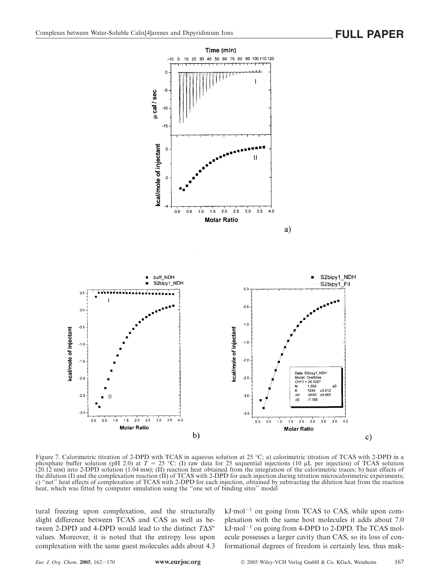

Figure 7. Calorimetric titration of 2-DPD with TCAS in aqueous solution at 25 °C; a) calorimetric titration of TCAS with 2-DPD in a phosphate buffer solution (pH 2.0) at  $T = 25$  °C: (I) raw data for 25 sequential injections (10 µL per injection) of TCAS solution (20.12 mm) into 2-DPD solution (1.04 mm); (II) reaction heat obtained from the integration of the calorimetric traces; b) heat effects of the dilution (I) and the complexation reaction (II) of TCAS with 2-DPD for each injection during titration microcalorimetric experiments; c) ''net'' heat effects of complexation of TCAS with 2-DPD for each injection, obtained by subtracting the dilution heat from the reaction heat, which was fitted by computer simulation using the ''one set of binding sites'' model

tural freezing upon complexation, and the structurally slight difference between TCAS and CAS as well as between 2-DPD and 4-DPD would lead to the distinct *T*∆*S*° values. Moreover, it is noted that the entropy loss upon complexation with the same guest molecules adds about 4.3  $kJ·mol<sup>-1</sup>$  on going from TCAS to CAS, while upon complexation with the same host molecules it adds about 7.0  $kJ \cdot mol^{-1}$  on going from 4-DPD to 2-DPD. The TCAS molecule possesses a larger cavity than CAS, so its loss of conformational degrees of freedom is certainly less, thus mak-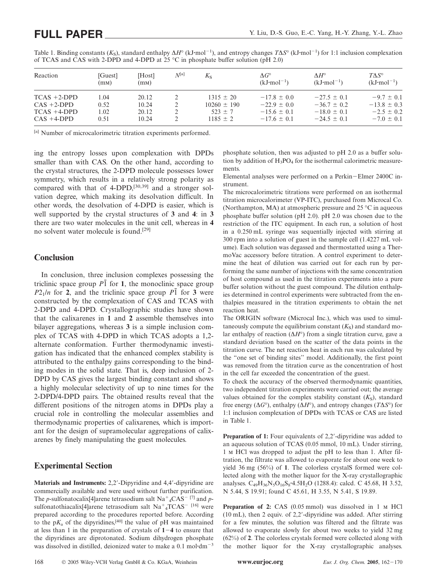| Reaction       | [Guest]<br>(mM) | [Host]<br>(mM) | N[a] | $K_{S}$         | $\Delta G^\circ$<br>$(kJ \cdot mol^{-1})$ | $\Lambda H^\circ$<br>$(kJ \cdot mol^{-1})$ | $T\Lambda S^{\circ}$<br>$(kJ \cdot mol^{-1})$ |
|----------------|-----------------|----------------|------|-----------------|-------------------------------------------|--------------------------------------------|-----------------------------------------------|
| $TCAS + 2-DPD$ | 1.04            | 20.12          |      | $1315 \pm 20$   | $-17.8 \pm 0.0$                           | $-27.5 \pm 0.1$                            | $-9.7 \pm 0.1$                                |
| $CAS +2-DPD$   | 0.52            | 10.24          |      | $10260 \pm 190$ | $-22.9 \pm 0.0$                           | $-36.7 + 0.2$                              | $-13.8 \pm 0.3$                               |
| $TCAS +4-DPD$  | 1.02            | 20.12          |      | $523 \pm 7$     | $-15.6 \pm 0.1$                           | $-18.0 \pm 0.1$                            | $-2.5 \pm 0.2$                                |
| $CAS +4-DPD$   | 0.51            | 10.24          |      | $1185 + 2$      | $-17.6 + 0.1$                             | $-24.5 \pm 0.1$                            | $-7.0 \pm 0.1$                                |

Table 1. Binding constants (K<sub>S</sub>), standard enthalpy Δ*H*<sup>°</sup> (kJ·mol<sup>-1</sup>), and entropy changes *T*Δ*S*<sup>°</sup> (kJ·mol<sup>-1</sup>) for 1:1 inclusion complexation of TCAS and CAS with 2-DPD and 4-DPD at 25  $^{\circ}$ C in phosphate buffer solution (pH 2.0)

[a] Number of microcalorimetric titration experiments performed.

ing the entropy losses upon complexation with DPDs smaller than with CAS. On the other hand, according to the crystal structures, the 2-DPD molecule possesses lower symmetry, which results in a relatively strong polarity as compared with that of 4-DPD,[30,39] and a stronger solvation degree, which making its desolvation difficult. In other words, the desolvation of 4-DPD is easier, which is well supported by the crystal structures of **3** and **4**: in **3** there are two water molecules in the unit cell, whereas in **4** no solvent water molecule is found.[29]

## **Conclusion**

In conclusion, three inclusion complexes possessing the triclinic space group  $P\bar{1}$  for **1**, the monoclinic space group  $P2_1/n$  for **2**, and the triclinic space group  $P\overline{1}$  for **3** were constructed by the complexation of CAS and TCAS with 2-DPD and 4-DPD. Crystallographic studies have shown that the calixarenes in **1** and **2** assemble themselves into bilayer aggregations, whereas **3** is a simple inclusion complex of TCAS with 4-DPD in which TCAS adopts a 1,2 alternate conformation. Further thermodynamic investigation has indicated that the enhanced complex stability is attributed to the enthalpy gains corresponding to the binding modes in the solid state. That is, deep inclusion of 2- DPD by CAS gives the largest binding constant and shows a highly molecular selectivity of up to nine times for the 2-DPD/4-DPD pairs. The obtained results reveal that the different positions of the nitrogen atoms in DPDs play a crucial role in controlling the molecular assemblies and thermodynamic properties of calixarenes, which is important for the design of supramolecular aggregations of calixarenes by finely manipulating the guest molecules.

# **Experimental Section**

**Materials and Instruments:** 2,2-Dipyridine and 4,4-dipyridine are commercially available and were used without further purification. The *p*-sulfonatocalix<sup>[4]</sup> arene tetrasodium salt  $\text{Na}^+$ <sub>4</sub> $\text{CAS}^-$ <sup>[7]</sup> and *p*sulfonatothiacalix[4]arene tetrasodium salt  $Na^+{}_4TCAS^{-116}$  were prepared according to the procedures reported before. According to the  $pK_a$  of the dipyridines,<sup>[40]</sup> the value of pH was maintained at less than 1 in the preparation of crystals of  $1-4$  to ensure that the dipyridines are diprotonated. Sodium dihydrogen phosphate was dissolved in distilled, deionized water to make a 0.1 mol·dm<sup>-3</sup>

phosphate solution, then was adjusted to pH 2.0 as a buffer solution by addition of  $H_3PO_4$  for the isothermal calorimetric measurements.

Elemental analyses were performed on a Perkin-Elmer 2400C instrument.

The microcalorimetric titrations were performed on an isothermal titration microcalorimeter (VP-ITC), purchased from Microcal Co. (Northampton, MA) at atmospheric pressure and 25 °C in aqueous phosphate buffer solution (pH 2.0). pH 2.0 was chosen due to the restriction of the ITC equipment. In each run, a solution of host in a 0.250 mL syringe was sequentially injected with stirring at 300 rpm into a solution of guest in the sample cell (1.4227 mL volume). Each solution was degassed and thermostatted using a ThermoVac accessory before titration. A control experiment to determine the heat of dilution was carried out for each run by performing the same number of injections with the same concentration of host compound as used in the titration experiments into a pure buffer solution without the guest compound. The dilution enthalpies determined in control experiments were subtracted from the enthalpies measured in the titration experiments to obtain the net reaction heat.

The ORIGIN software (Microcal Inc.), which was used to simultaneously compute the equilibrium constant  $(K<sub>s</sub>)$  and standard molar enthalpy of reaction (∆*H*°) from a single titration curve, gave a standard deviation based on the scatter of the data points in the titration curve. The net reaction heat in each run was calculated by the ''one set of binding sites'' model. Additionally, the first point was removed from the titration curve as the concentration of host in the cell far exceeded the concentration of the guest.

To check the accuracy of the observed thermodynamic quantities, two independent titration experiments were carried out; the average values obtained for the complex stability constant  $(K<sub>s</sub>)$ , standard free energy (∆*G*°), enthalpy (∆*H*°), and entropy changes (*T*∆*S*°) for 1:1 inclusion complexation of DPDs with TCAS or CAS are listed in Table 1.

**Preparation of 1:** Four equivalents of 2,2'-dipyridine was added to an aqueous solution of TCAS (0.05 mmol, 10 mL). Under stirring, 1 m HCl was dropped to adjust the pH to less than 1. After filtration, the filtrate was allowed to evaporate for about one week to yield 36 mg (56%) of **1**. The colorless crystalS formed were collected along with the mother liquor for the X-ray crystallographic analyses. C<sub>49</sub>H<sub>36</sub>N<sub>5</sub>O<sub>16</sub>S<sub>8</sub><sup>·</sup>4.5H<sub>2</sub>O (1288.4): calcd. C 45.68, H 3.52, N 5.44, S 19.91; found C 45.61, H 3.55, N 5.41, S 19.89.

**Preparation of 2:** CAS (0.05 mmol) was dissolved in 1 M HCl (10 mL), then 2 equiv. of 2,2-dipyridine was added. After stirring for a few minutes, the solution was filtered and the filtrate was allowed to evaporate slowly for about two weeks to yield 32 mg (62%) of **2**. The colorless crystals formed were collected along with the mother liquor for the X-ray crystallographic analyses.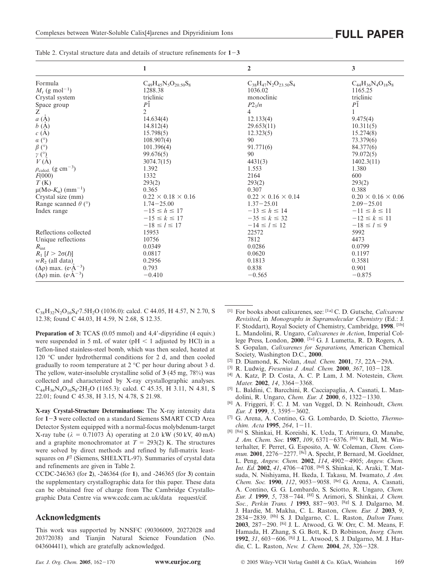|                                                    | 1                              | $\overline{2}$                 | 3                              |
|----------------------------------------------------|--------------------------------|--------------------------------|--------------------------------|
| Formula                                            | $C_{49}H_{45}N_5O_{20.50}S_8$  | $C_{38}H_{47}N_2O_{23.50}S_4$  | $C_{44}H_{36}N_4O_{18}S_8$     |
| $M_r$ (g mol <sup>-1</sup> )                       | 1288.38                        | 1036.02                        | 1165.25                        |
| Crystal system                                     | triclinic                      | monoclinic                     | triclinic                      |
| Space group                                        | $P\bar{1}$                     | $P2_1/n$                       | $P\bar{1}$                     |
| $\overline{z}$<br><i>a</i> (Å)                     | $\overline{c}$                 | 4                              |                                |
|                                                    | 14.634(4)                      | 12.133(4)                      | 9.475(4)                       |
| $b(\AA)$                                           | 14.812(4)                      | 29.653(11)                     | 10.311(5)                      |
| c(A)                                               | 15.798(5)                      | 12.323(5)                      | 15.274(8)                      |
| $a$ (°)                                            | 108.907(4)                     | 90                             | 73.379(6)                      |
| $\beta$ (°)                                        | 101.396(4)                     | 91.771(6)                      | 84.377(6)                      |
| $\stackrel{\gamma}{\nu}{}_{(A)}^{\circ}$           | 99.676(5)                      | 90                             | 79.072(5)                      |
|                                                    | 3074.7(15)                     | 4431(3)                        | 1402.3(11)                     |
| $\rho_{\text{calcd.}}$ (g cm <sup>-3</sup> )       | 1.392                          | 1.553                          | 1.380                          |
| F(000)                                             | 1332                           | 2164                           | 600                            |
| T(K)                                               | 293(2)                         | 293(2)                         | 293(2)                         |
| $μ(Mo-Kα)$ (mm <sup>-1</sup> )                     | 0.365                          | 0.307                          | 0.388                          |
| Crystal size (mm)                                  | $0.22 \times 0.18 \times 0.16$ | $0.22 \times 0.16 \times 0.14$ | $0.20 \times 0.16 \times 0.06$ |
| Range scanned $\theta$ ( $\degree$ )               | $1.74 - 25.00$                 | $1.37 - 25.01$                 | $2.09 - 25.01$                 |
| Index range                                        | $-15 \le h \le 17$             | $-13 \le h \le 14$             | $-11 \le h \le 11$             |
|                                                    | $-15 \le k \le 17$             | $-35 \le k \le 32$             | $-12 \le k \le 11$             |
|                                                    | $-18 \le l \le 17$             | $-14 \le l \le 12$             | $-18 \le l \le 9$              |
| Reflections collected                              | 15953                          | 22572                          | 5992                           |
| Unique reflections                                 | 10756                          | 7812                           | 4473                           |
| $R_{\rm int}$                                      | 0.0349                         | 0.0286                         | 0.0799                         |
| $R_1$ [ $I > 2\sigma(I)$ ]                         | 0.0817                         | 0.0620                         | 0.1197                         |
| $wR_2$ (all data)                                  | 0.2956                         | 0.1813                         | 0.3581                         |
| $(\Delta \rho)$ max. $(e \cdot \mathring{A}^{-3})$ | 0.793                          | 0.838                          | 0.901                          |
| $(\Delta \rho)$ min. (e·A <sup>-3</sup> )          | $-0.410$                       | $-0.565$                       | $-0.875$                       |

Table 2. Crystal structure data and details of structure refinements for **13**

C38H32N2O16S4**·**7.5H2O (1036.0): calcd. C 44.05, H 4.57, N 2.70, S 12.38; found C 44.03, H 4.59, N 2.68, S 12.35.

**Preparation of 3:** TCAS (0.05 mmol) and 4,4'-dipyridine (4 equiv.) were suspended in 5 mL of water ( $pH < 1$  adjusted by HCl) in a Teflon-lined stainless-steel bomb, which was then sealed, heated at 120 °C under hydrothermal conditions for 2 d, and then cooled gradually to room temperature at 2 °C per hour during about 3 d. The yellow, water-insoluble crystalline solid of **3** (45 mg, 78%) was collected and characterized by X-ray crystallographic analyses. C44H36N4O16S8**·**2H2O (1165.3): calcd. C 45.35, H 3.11, N 4.81, S 22.01; found C 45.38, H 3.15, N 4.78, S 21.98.

**X-ray Crystal-Structure Determinations:** The X-ray intensity data for **13** were collected on a standard Siemens SMART CCD Area Detector System equipped with a normal-focus molybdenum-target X-ray tube ( $λ = 0.71073$  Å) operating at 2.0 kW (50 kV, 40 mA) and a graphite monochromator at  $T = 293(2)$  K. The structures were solved by direct methods and refined by full-matrix leastsquares on *F*<sup>2</sup> (Siemens, SHELXTL-97). Summaries of crystal data and refinements are given in Table 2.

CCDC-246363 (for **2**), -246364 (for **1**), and -246365 (for **3**) contain the supplementary crystallographic data for this paper. These data can be obtained free of charge from The Cambridge Crystallographic Data Centre via www.ccdc.cam.ac.uk/data request/cif.

### **Acknowledgments**

This work was supported by NNSFC (90306009, 20272028 and 20372038) and Tianjin Natural Science Foundation (No. 043604411), which are gratefully acknowledged.

- [1] For books about calixarenes, see: [1a] C. D. Gutsche, *Calixarene Revisited*, in *Monographs in Supramolecular Chemistry* (Ed.: J. F. Stoddart), Royal Society of Chemistry, Cambridge, **1998**. [1b] L. Mandolini, R. Ungaro, *Calixarenes in Action*, Imperial College Press, London, **2000**. [1c] G. J. Lumetta, R. D. Rogers, A. S. Gopalan, *Calixarenes for Separations*, American Chemical
- <sup>[2]</sup> D. Diamond, K. Nolan, *Anal. Chem.* **2001**, 73, 22A-29A.
- <sup>[3]</sup> R. Ludwig, *Fresenius J. Anal. Chem.* **2000**,  $367$ ,  $103-128$ .<br><sup>[4]</sup> A. Katz, P. D. Costa, A. C. P. Lam, J. M. Notestein, *Cl.*
- [4] A. Katz, P. D. Costa, A. C. P. Lam, J. M. Notestein, *Chem. Mater.* **2002**, 14, 3364-3368.
- [5] L. Baldini, C. Barcchini, R. Cacciapaglia, A. Casnati, L. Mandolini, R. Ungaro, *Chem. Eur. J.* **2000**, *6*, 1322-1330.
- [6] A. Friggeri, F. C. J. M. van Veggel, D. N. Reinhoudt, *Chem. Eur. J.* **1999**, 5, 3595-3602.
- [7] G. Arena, A. Contino, G. G. Lombardo, D. Sciotto, *Thermochim. Acta* **1995**, 264, 1-11.
- [8] [8a] S. Shinkai, H. Koreishi, K. Ueda, T. Arimura, O. Manabe, *J. Am. Chem. Soc.* **1987**, *109*, 6371-6376. <sup>[8b]</sup> V. Ball, M. Winterhalter, F. Perret, G. Esposito, A. W. Coleman, *Chem. Commun.* **2001**, 2276-2277. <sup>[8c]</sup> A. Specht, P. Bernard, M. Goeldner, L. Peng, Angew. Chem. 2002, 114, 4902-4905; Angew. Chem. *Int. Ed.* 2002, 41, 4706-4708. <sup>[8d]</sup> S. Shinkai, K. Araki, T. Matsuda, N. Nishiyama, H. Ikeda, I. Takasu, M. Iwamato, *J. Am. Chem. Soc.* **1990**, *112*, 9053-9058. <sup>[8e]</sup> G. Arena, A. Casnati, A. Contino, G. G. Lombardo, S. Sciotto, R. Ungaro, *Chem. Eur. J.* **1999**, *5*, 738744. [8f] S. Arimori, S. Shinkai, *J. Chem. Soc., Perkin Trans. 1* **1993**, 887-903. <sup>[8g]</sup> S. J. Dalgarno, M. J. Hardie, M. Makha, C. L. Raston, *Chem. Eur. J.* **2003**, *9*, 2834-2839. [8h] S. J. Dalgarno, C. L. Raston, *Dalton Trans.* 2003, 287-290. <sup>[8i]</sup> J. L. Atwood, G. W. Orr, C. M. Means, F. Hamada, H. Zhang, S. G. Bott, K. D. Robinson, *Inorg. Chem.* **1992**, 31, 603–606. <sup>[8j]</sup> J. L. Atwood, S. J. Dalgarno, M. J. Hardie, C. L. Raston, *New. J. Chem.* **2004**, 28, 326-328.